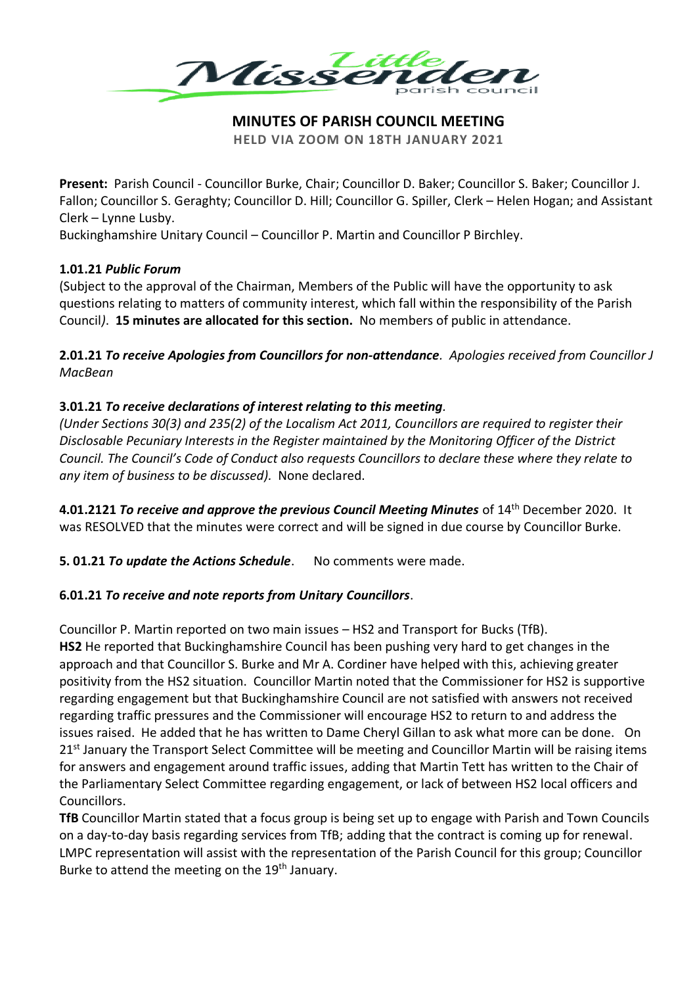

## **MINUTES OF PARISH COUNCIL MEETING**

**HELD VIA ZOOM ON 18TH JANUARY 2021**

**Present:** Parish Council - Councillor Burke, Chair; Councillor D. Baker; Councillor S. Baker; Councillor J. Fallon; Councillor S. Geraghty; Councillor D. Hill; Councillor G. Spiller, Clerk – Helen Hogan; and Assistant Clerk – Lynne Lusby.

Buckinghamshire Unitary Council – Councillor P. Martin and Councillor P Birchley.

#### **1.01.21** *Public Forum*

(Subject to the approval of the Chairman, Members of the Public will have the opportunity to ask questions relating to matters of community interest, which fall within the responsibility of the Parish Council*)*. **15 minutes are allocated for this section.** No members of public in attendance.

**2.01.21** *To receive Apologies from Councillors for non-attendance. Apologies received from Councillor J MacBean*

## **3.01.21** *To receive declarations of interest relating to this meeting.*

*(Under Sections 30(3) and 235(2) of the Localism Act 2011, Councillors are required to register their Disclosable Pecuniary Interests in the Register maintained by the Monitoring Officer of the District Council. The Council's Code of Conduct also requests Councillors to declare these where they relate to any item of business to be discussed).* None declared.

**4.01.2121** *To receive and approve the previous Council Meeting Minutes* of 14th December 2020. It was RESOLVED that the minutes were correct and will be signed in due course by Councillor Burke.

**5. 01.21** *To update the Actions Schedule*. No comments were made.

## **6.01.21** *To receive and note reports from Unitary Councillors*.

Councillor P. Martin reported on two main issues – HS2 and Transport for Bucks (TfB).

**HS2** He reported that Buckinghamshire Council has been pushing very hard to get changes in the approach and that Councillor S. Burke and Mr A. Cordiner have helped with this, achieving greater positivity from the HS2 situation. Councillor Martin noted that the Commissioner for HS2 is supportive regarding engagement but that Buckinghamshire Council are not satisfied with answers not received regarding traffic pressures and the Commissioner will encourage HS2 to return to and address the issues raised. He added that he has written to Dame Cheryl Gillan to ask what more can be done. On 21<sup>st</sup> January the Transport Select Committee will be meeting and Councillor Martin will be raising items for answers and engagement around traffic issues, adding that Martin Tett has written to the Chair of the Parliamentary Select Committee regarding engagement, or lack of between HS2 local officers and Councillors.

**TfB** Councillor Martin stated that a focus group is being set up to engage with Parish and Town Councils on a day-to-day basis regarding services from TfB; adding that the contract is coming up for renewal. LMPC representation will assist with the representation of the Parish Council for this group; Councillor Burke to attend the meeting on the 19<sup>th</sup> January.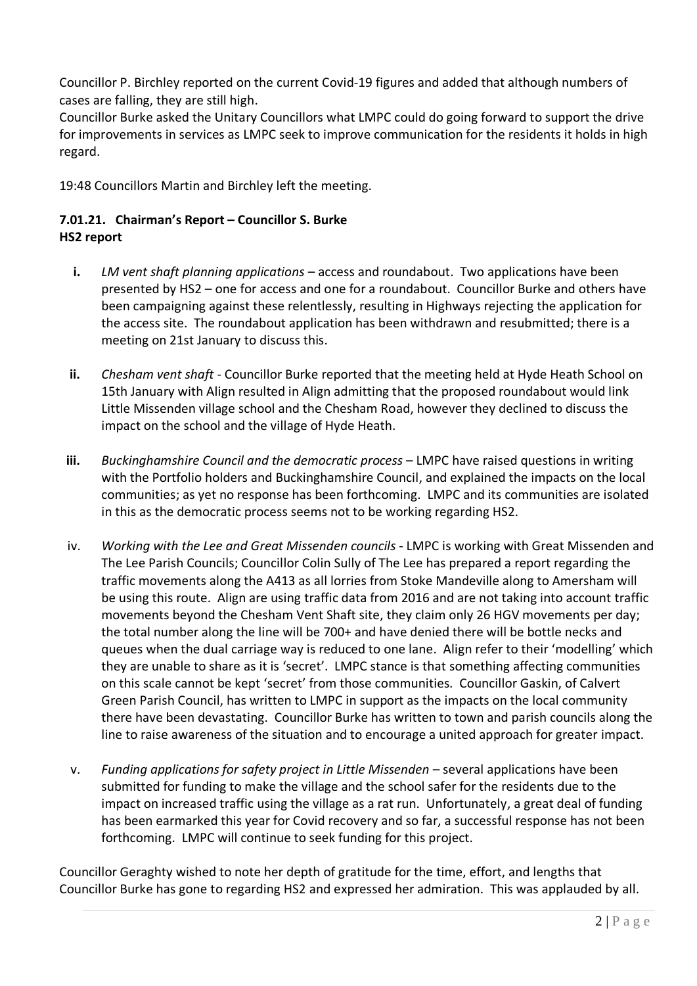Councillor P. Birchley reported on the current Covid-19 figures and added that although numbers of cases are falling, they are still high.

Councillor Burke asked the Unitary Councillors what LMPC could do going forward to support the drive for improvements in services as LMPC seek to improve communication for the residents it holds in high regard.

19:48 Councillors Martin and Birchley left the meeting.

# **7.01.21. Chairman's Report – Councillor S. Burke HS2 report**

- **i.** *LM vent shaft planning applications* access and roundabout. Two applications have been presented by HS2 – one for access and one for a roundabout. Councillor Burke and others have been campaigning against these relentlessly, resulting in Highways rejecting the application for the access site. The roundabout application has been withdrawn and resubmitted; there is a meeting on 21st January to discuss this.
- **ii.** *Chesham vent shaft* Councillor Burke reported that the meeting held at Hyde Heath School on 15th January with Align resulted in Align admitting that the proposed roundabout would link Little Missenden village school and the Chesham Road, however they declined to discuss the impact on the school and the village of Hyde Heath.
- **iii.** *Buckinghamshire Council and the democratic process* LMPC have raised questions in writing with the Portfolio holders and Buckinghamshire Council, and explained the impacts on the local communities; as yet no response has been forthcoming. LMPC and its communities are isolated in this as the democratic process seems not to be working regarding HS2.
- iv. *Working with the Lee and Great Missenden councils* LMPC is working with Great Missenden and The Lee Parish Councils; Councillor Colin Sully of The Lee has prepared a report regarding the traffic movements along the A413 as all lorries from Stoke Mandeville along to Amersham will be using this route. Align are using traffic data from 2016 and are not taking into account traffic movements beyond the Chesham Vent Shaft site, they claim only 26 HGV movements per day; the total number along the line will be 700+ and have denied there will be bottle necks and queues when the dual carriage way is reduced to one lane. Align refer to their 'modelling' which they are unable to share as it is 'secret'. LMPC stance is that something affecting communities on this scale cannot be kept 'secret' from those communities. Councillor Gaskin, of Calvert Green Parish Council, has written to LMPC in support as the impacts on the local community there have been devastating. Councillor Burke has written to town and parish councils along the line to raise awareness of the situation and to encourage a united approach for greater impact.
- v. *Funding applications for safety project in Little Missenden –* several applications have been submitted for funding to make the village and the school safer for the residents due to the impact on increased traffic using the village as a rat run. Unfortunately, a great deal of funding has been earmarked this year for Covid recovery and so far, a successful response has not been forthcoming. LMPC will continue to seek funding for this project.

Councillor Geraghty wished to note her depth of gratitude for the time, effort, and lengths that Councillor Burke has gone to regarding HS2 and expressed her admiration. This was applauded by all.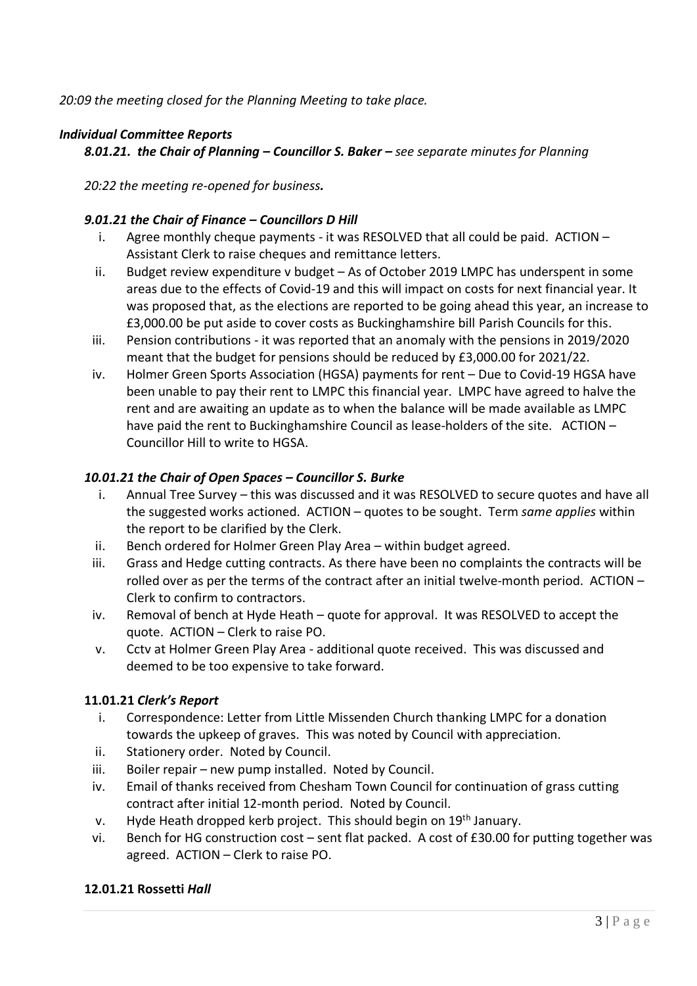*20:09 the meeting closed for the Planning Meeting to take place.*

# *Individual Committee Reports*

*8.01.21. the Chair of Planning – Councillor S. Baker – see separate minutes for Planning*

*20:22 the meeting re-opened for business.*

## *9.01.21 the Chair of Finance – Councillors D Hill*

- i. Agree monthly cheque payments it was RESOLVED that all could be paid. ACTION Assistant Clerk to raise cheques and remittance letters.
- ii. Budget review expenditure v budget As of October 2019 LMPC has underspent in some areas due to the effects of Covid-19 and this will impact on costs for next financial year. It was proposed that, as the elections are reported to be going ahead this year, an increase to £3,000.00 be put aside to cover costs as Buckinghamshire bill Parish Councils for this.
- iii. Pension contributions it was reported that an anomaly with the pensions in 2019/2020 meant that the budget for pensions should be reduced by £3,000.00 for 2021/22.
- iv. Holmer Green Sports Association (HGSA) payments for rent Due to Covid-19 HGSA have been unable to pay their rent to LMPC this financial year. LMPC have agreed to halve the rent and are awaiting an update as to when the balance will be made available as LMPC have paid the rent to Buckinghamshire Council as lease-holders of the site. ACTION – Councillor Hill to write to HGSA.

## *10.01.21 the Chair of Open Spaces – Councillor S. Burke*

- i. Annual Tree Survey this was discussed and it was RESOLVED to secure quotes and have all the suggested works actioned. ACTION – quotes to be sought. Term *same applies* within the report to be clarified by the Clerk.
- ii. Bench ordered for Holmer Green Play Area within budget agreed.
- iii. Grass and Hedge cutting contracts. As there have been no complaints the contracts will be rolled over as per the terms of the contract after an initial twelve-month period. ACTION – Clerk to confirm to contractors.
- iv. Removal of bench at Hyde Heath quote for approval. It was RESOLVED to accept the quote. ACTION – Clerk to raise PO.
- v. Cctv at Holmer Green Play Area additional quote received. This was discussed and deemed to be too expensive to take forward.

## **11.01.21** *Clerk's Report*

- i. Correspondence: Letter from Little Missenden Church thanking LMPC for a donation towards the upkeep of graves. This was noted by Council with appreciation.
- ii. Stationery order. Noted by Council.
- iii. Boiler repair new pump installed. Noted by Council.
- iv. Email of thanks received from Chesham Town Council for continuation of grass cutting contract after initial 12-month period. Noted by Council.
- v. Hyde Heath dropped kerb project. This should begin on 19<sup>th</sup> January.
- vi. Bench for HG construction cost sent flat packed. A cost of £30.00 for putting together was agreed. ACTION – Clerk to raise PO.

## **12.01.21 Rossetti** *Hall*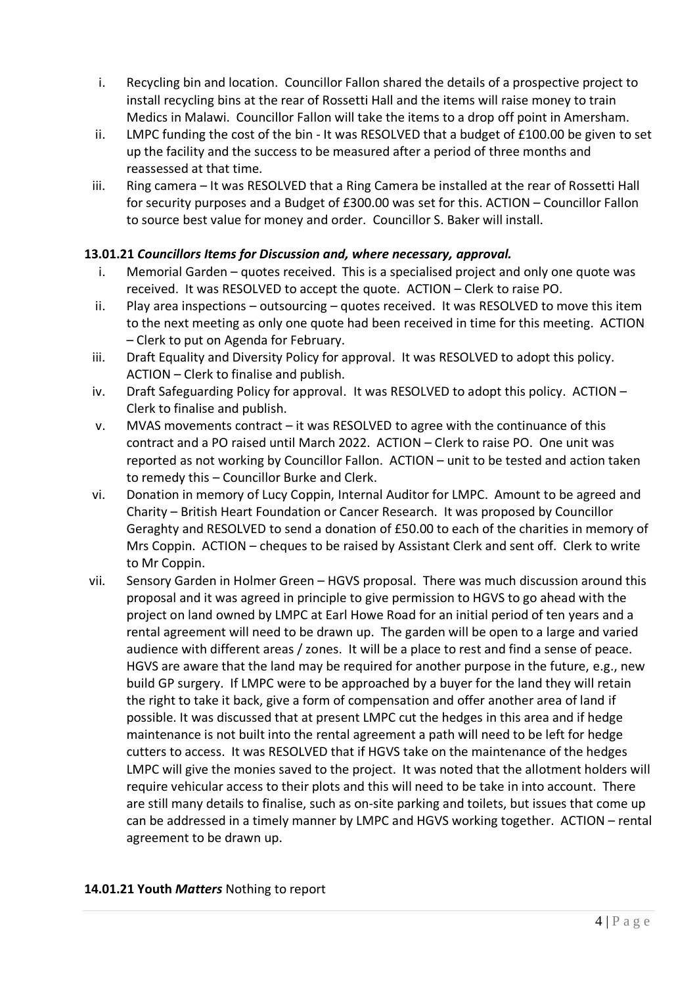- i. Recycling bin and location. Councillor Fallon shared the details of a prospective project to install recycling bins at the rear of Rossetti Hall and the items will raise money to train Medics in Malawi. Councillor Fallon will take the items to a drop off point in Amersham.
- ii. LMPC funding the cost of the bin It was RESOLVED that a budget of £100.00 be given to set up the facility and the success to be measured after a period of three months and reassessed at that time.
- iii. Ring camera It was RESOLVED that a Ring Camera be installed at the rear of Rossetti Hall for security purposes and a Budget of £300.00 was set for this. ACTION – Councillor Fallon to source best value for money and order. Councillor S. Baker will install.

# **13.01.21** *Councillors Items for Discussion and, where necessary, approval.*

- i. Memorial Garden quotes received. This is a specialised project and only one quote was received. It was RESOLVED to accept the quote. ACTION – Clerk to raise PO.
- ii. Play area inspections outsourcing quotes received. It was RESOLVED to move this item to the next meeting as only one quote had been received in time for this meeting. ACTION – Clerk to put on Agenda for February.
- iii. Draft Equality and Diversity Policy for approval. It was RESOLVED to adopt this policy. ACTION – Clerk to finalise and publish.
- iv. Draft Safeguarding Policy for approval. It was RESOLVED to adopt this policy. ACTION Clerk to finalise and publish.
- v. MVAS movements contract it was RESOLVED to agree with the continuance of this contract and a PO raised until March 2022. ACTION – Clerk to raise PO. One unit was reported as not working by Councillor Fallon. ACTION – unit to be tested and action taken to remedy this – Councillor Burke and Clerk.
- vi. Donation in memory of Lucy Coppin, Internal Auditor for LMPC. Amount to be agreed and Charity – British Heart Foundation or Cancer Research. It was proposed by Councillor Geraghty and RESOLVED to send a donation of £50.00 to each of the charities in memory of Mrs Coppin. ACTION – cheques to be raised by Assistant Clerk and sent off. Clerk to write to Mr Coppin.
- vii. Sensory Garden in Holmer Green HGVS proposal. There was much discussion around this proposal and it was agreed in principle to give permission to HGVS to go ahead with the project on land owned by LMPC at Earl Howe Road for an initial period of ten years and a rental agreement will need to be drawn up. The garden will be open to a large and varied audience with different areas / zones. It will be a place to rest and find a sense of peace. HGVS are aware that the land may be required for another purpose in the future, e.g., new build GP surgery. If LMPC were to be approached by a buyer for the land they will retain the right to take it back, give a form of compensation and offer another area of land if possible. It was discussed that at present LMPC cut the hedges in this area and if hedge maintenance is not built into the rental agreement a path will need to be left for hedge cutters to access. It was RESOLVED that if HGVS take on the maintenance of the hedges LMPC will give the monies saved to the project. It was noted that the allotment holders will require vehicular access to their plots and this will need to be take in into account. There are still many details to finalise, such as on-site parking and toilets, but issues that come up can be addressed in a timely manner by LMPC and HGVS working together. ACTION – rental agreement to be drawn up.

#### **14.01.21 Youth** *Matters* Nothing to report